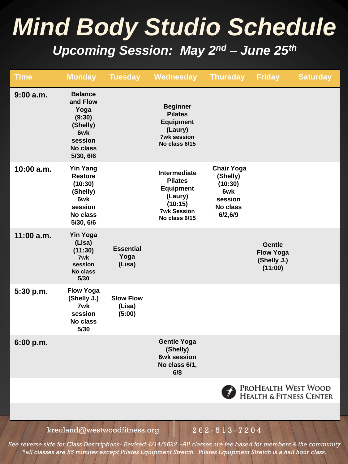# *Mind Body Studio Schedule Upcoming Session: May 2nd – June 25th*

| <b>Time</b>  | <b>Monday</b>                                                                                              | <b>Tuesday</b>                       | Wednesday                                                                                                       | <b>Thursday</b>                                                                    | <b>Friday</b>                                               | <b>Saturday</b> |
|--------------|------------------------------------------------------------------------------------------------------------|--------------------------------------|-----------------------------------------------------------------------------------------------------------------|------------------------------------------------------------------------------------|-------------------------------------------------------------|-----------------|
| 9:00 a.m.    | <b>Balance</b><br>and Flow<br>Yoga<br>(9:30)<br>(Shelly)<br>6wk<br>session<br>No class<br>5/30, 6/6        |                                      | <b>Beginner</b><br><b>Pilates</b><br><b>Equipment</b><br>(Laury)<br><b>7wk session</b><br>No class 6/15         |                                                                                    |                                                             |                 |
| 10:00 a.m.   | <b>Yin Yang</b><br><b>Restore</b><br>(10:30)<br>(Shelly)<br>6wk<br>session<br><b>No class</b><br>5/30, 6/6 |                                      | Intermediate<br><b>Pilates</b><br><b>Equipment</b><br>(Laury)<br>(10:15)<br><b>7wk Session</b><br>No class 6/15 | <b>Chair Yoga</b><br>(Shelly)<br>(10:30)<br>6wk<br>session<br>No class<br>6/2, 6/9 |                                                             |                 |
| $11:00$ a.m. | <b>Yin Yoga</b><br>(Lisa)<br>(11:30)<br>7wk<br>session<br><b>No class</b><br>5/30                          | <b>Essential</b><br>Yoga<br>(Lisa)   |                                                                                                                 |                                                                                    | <b>Gentle</b><br><b>Flow Yoga</b><br>(Shelly J.)<br>(11:00) |                 |
| 5:30 p.m.    | <b>Flow Yoga</b><br>(Shelly J.)<br>7wk<br>session<br><b>No class</b><br>5/30                               | <b>Slow Flow</b><br>(Lisa)<br>(5:00) |                                                                                                                 |                                                                                    |                                                             |                 |
| 6:00 p.m.    |                                                                                                            |                                      | <b>Gentle Yoga</b><br>(Shelly)<br>6wk session<br>No class 6/1,<br>6/8                                           |                                                                                    |                                                             |                 |
|              |                                                                                                            |                                      |                                                                                                                 |                                                                                    | ProHealth West Wood<br>Health & Fitness Center              |                 |

kreuland@westwoodfitness.org  $262 - 513 - 7204$ 

*See reverse side for Class Descriptions- Revised 4/14/2022 ~All classes are fee based for members & the community \*all classes are 55 minutes except Pilates Equipment Stretch. Pilates Equipment Stretch is a half hour class.*